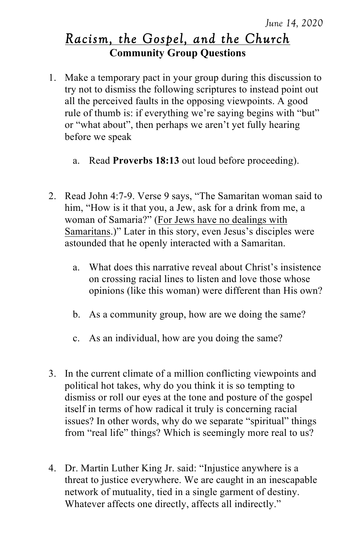## *Racism, the Gospel, and the Church* **Community Group Questions**

- 1. Make a temporary pact in your group during this discussion to try not to dismiss the following scriptures to instead point out all the perceived faults in the opposing viewpoints. A good rule of thumb is: if everything we're saying begins with "but" or "what about", then perhaps we aren't yet fully hearing before we speak
	- a. Read **Proverbs 18:13** out loud before proceeding).
- 2. Read John 4:7-9. Verse 9 says, "The Samaritan woman said to him, "How is it that you, a Jew, ask for a drink from me, a woman of Samaria?" (For Jews have no dealings with Samaritans.)" Later in this story, even Jesus's disciples were astounded that he openly interacted with a Samaritan.
	- a. What does this narrative reveal about Christ's insistence on crossing racial lines to listen and love those whose opinions (like this woman) were different than His own?
	- b. As a community group, how are we doing the same?
	- c. As an individual, how are you doing the same?
- 3. In the current climate of a million conflicting viewpoints and political hot takes, why do you think it is so tempting to dismiss or roll our eyes at the tone and posture of the gospel itself in terms of how radical it truly is concerning racial issues? In other words, why do we separate "spiritual" things from "real life" things? Which is seemingly more real to us?
- 4. Dr. Martin Luther King Jr. said: "Injustice anywhere is a threat to justice everywhere. We are caught in an inescapable network of mutuality, tied in a single garment of destiny. Whatever affects one directly, affects all indirectly."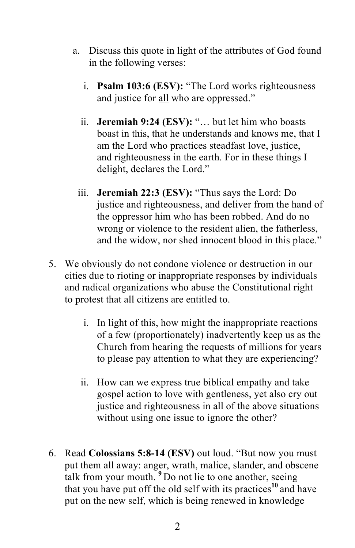- a. Discuss this quote in light of the attributes of God found in the following verses:
	- i. **Psalm 103:6 (ESV):** "The Lord works righteousness and justice for all who are oppressed."
	- ii. **Jeremiah 9:24 (ESV):** "… but let him who boasts boast in this, that he understands and knows me, that I am the Lord who practices steadfast love, justice, and righteousness in the earth. For in these things I delight, declares the Lord."
	- iii. **Jeremiah 22:3 (ESV):** "Thus says the Lord: Do justice and righteousness, and deliver from the hand of the oppressor him who has been robbed. And do no wrong or violence to the resident alien, the fatherless, and the widow, nor shed innocent blood in this place."
- 5. We obviously do not condone violence or destruction in our cities due to rioting or inappropriate responses by individuals and radical organizations who abuse the Constitutional right to protest that all citizens are entitled to.
	- i. In light of this, how might the inappropriate reactions of a few (proportionately) inadvertently keep us as the Church from hearing the requests of millions for years to please pay attention to what they are experiencing?
	- ii. How can we express true biblical empathy and take gospel action to love with gentleness, yet also cry out justice and righteousness in all of the above situations without using one issue to ignore the other?
- 6. Read **Colossians 5:8-14 (ESV)** out loud. "But now you must put them all away: anger, wrath, malice, slander, and obscene talk from your mouth. **<sup>9</sup>** Do not lie to one another, seeing that you have put off the old self with its practices**<sup>10</sup>** and have put on the new self, which is being renewed in knowledge